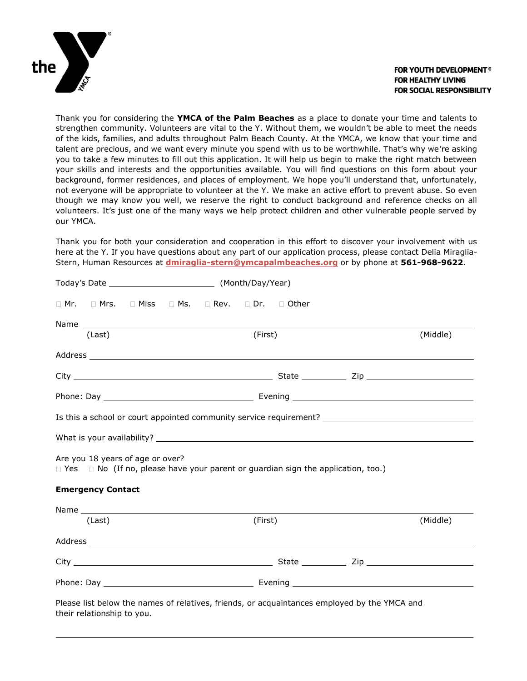

### **FOR YOUTH DEVELOPMENT® FOR HEALTHY LIVING FOR SOCIAL RESPONSIBILITY**

Thank you for considering the **YMCA of the Palm Beaches** as a place to donate your time and talents to strengthen community. Volunteers are vital to the Y. Without them, we wouldn't be able to meet the needs of the kids, families, and adults throughout Palm Beach County. At the YMCA, we know that your time and talent are precious, and we want every minute you spend with us to be worthwhile. That's why we're asking you to take a few minutes to fill out this application. It will help us begin to make the right match between your skills and interests and the opportunities available. You will find questions on this form about your background, former residences, and places of employment. We hope you'll understand that, unfortunately, not everyone will be appropriate to volunteer at the Y. We make an active effort to prevent abuse. So even though we may know you well, we reserve the right to conduct background and reference checks on all volunteers. It's just one of the many ways we help protect children and other vulnerable people served by our YMCA.

Thank you for both your consideration and cooperation in this effort to discover your involvement with us here at the Y. If you have questions about any part of our application process, please contact Delia Miraglia-Stern, Human Resources at **[dmiraglia-stern@ymcapalmbeaches.org](mailto:dmiraglia-stern@ymcapalmbeaches.org)** or by phone at **561-968-9622**.

|                            |  |         | □ Mr. □ Mrs. □ Miss □ Ms. □ Rev. □ Dr. □ Other                                               |  |          |
|----------------------------|--|---------|----------------------------------------------------------------------------------------------|--|----------|
|                            |  |         |                                                                                              |  |          |
| (Last)                     |  | (First) |                                                                                              |  | (Middle) |
|                            |  |         |                                                                                              |  |          |
|                            |  |         |                                                                                              |  |          |
|                            |  |         |                                                                                              |  |          |
| <b>Emergency Contact</b>   |  |         | $\Box$ Yes $\Box$ No (If no, please have your parent or guardian sign the application, too.) |  |          |
|                            |  |         |                                                                                              |  |          |
| (Last)                     |  | (First) |                                                                                              |  | (Middle) |
|                            |  |         |                                                                                              |  |          |
|                            |  |         |                                                                                              |  |          |
|                            |  |         |                                                                                              |  |          |
| their relationship to you. |  |         | Please list below the names of relatives, friends, or acquaintances employed by the YMCA and |  |          |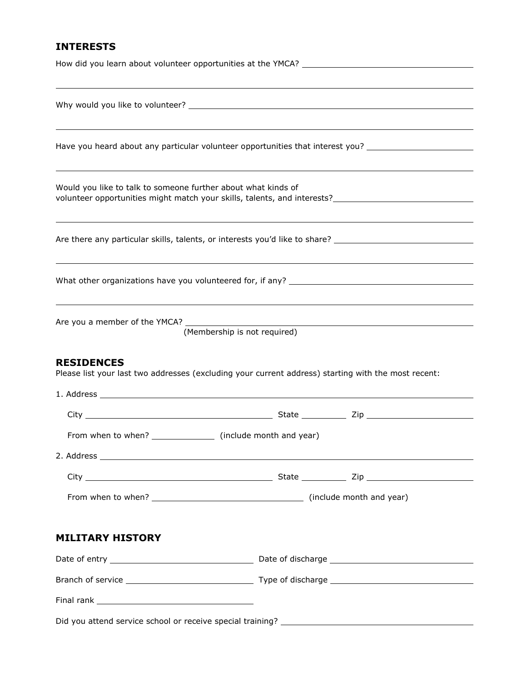## **INTERESTS**

|                                                                     | Have you heard about any particular volunteer opportunities that interest you? _____________________                                                                                                                          |
|---------------------------------------------------------------------|-------------------------------------------------------------------------------------------------------------------------------------------------------------------------------------------------------------------------------|
| Would you like to talk to someone further about what kinds of       | volunteer opportunities might match your skills, talents, and interests?____________________________                                                                                                                          |
|                                                                     | Are there any particular skills, talents, or interests you'd like to share? __________________________________                                                                                                                |
|                                                                     |                                                                                                                                                                                                                               |
| Are you a member of the YMCA? __________<br><b>RESIDENCES</b>       | (Membership is not required)                                                                                                                                                                                                  |
|                                                                     | Please list your last two addresses (excluding your current address) starting with the most recent:                                                                                                                           |
|                                                                     |                                                                                                                                                                                                                               |
|                                                                     |                                                                                                                                                                                                                               |
| From when to when? _______________________ (include month and year) |                                                                                                                                                                                                                               |
|                                                                     | 2. Address experience and the contract of the contract of the contract of the contract of the contract of the contract of the contract of the contract of the contract of the contract of the contract of the contract of the |
|                                                                     |                                                                                                                                                                                                                               |
|                                                                     |                                                                                                                                                                                                                               |
| <b>MILITARY HISTORY</b>                                             |                                                                                                                                                                                                                               |
|                                                                     |                                                                                                                                                                                                                               |
|                                                                     |                                                                                                                                                                                                                               |
|                                                                     |                                                                                                                                                                                                                               |
|                                                                     |                                                                                                                                                                                                                               |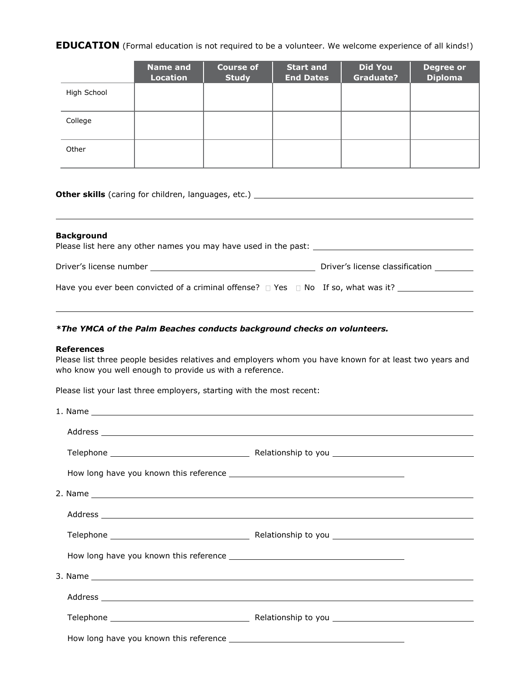**EDUCATION** (Formal education is not required to be a volunteer. We welcome experience of all kinds!)

|             | <b>Name and</b><br><b>Location</b> | Course of<br><b>Study</b> | <b>Start and</b><br><b>End Dates</b> | <b>Did You</b><br><b>Graduate?</b> | <b>Degree or</b><br><b>Diploma</b> |
|-------------|------------------------------------|---------------------------|--------------------------------------|------------------------------------|------------------------------------|
| High School |                                    |                           |                                      |                                    |                                    |
| College     |                                    |                           |                                      |                                    |                                    |
| Other       |                                    |                           |                                      |                                    |                                    |

**Other skills** (caring for children, languages, etc.)

#### **Background**

Please list here any other names you may have used in the past: \_\_\_\_\_\_\_\_\_\_\_\_\_\_\_\_

Driver's license number Driver's license classification

Have you ever been convicted of a criminal offense?  $\Box$  Yes  $\Box$  No If so, what was it?

#### *\*The YMCA of the Palm Beaches conducts background checks on volunteers.*

#### **References**

Please list three people besides relatives and employers whom you have known for at least two years and who know you well enough to provide us with a reference.

Please list your last three employers, starting with the most recent:

|  |  | Address experience and the contract of the contract of the contract of the contract of the contract of the contract of the contract of the contract of the contract of the contract of the contract of the contract of the con |  |  |
|--|--|--------------------------------------------------------------------------------------------------------------------------------------------------------------------------------------------------------------------------------|--|--|
|  |  |                                                                                                                                                                                                                                |  |  |
|  |  |                                                                                                                                                                                                                                |  |  |
|  |  |                                                                                                                                                                                                                                |  |  |
|  |  |                                                                                                                                                                                                                                |  |  |
|  |  |                                                                                                                                                                                                                                |  |  |
|  |  |                                                                                                                                                                                                                                |  |  |
|  |  |                                                                                                                                                                                                                                |  |  |
|  |  |                                                                                                                                                                                                                                |  |  |
|  |  |                                                                                                                                                                                                                                |  |  |
|  |  |                                                                                                                                                                                                                                |  |  |